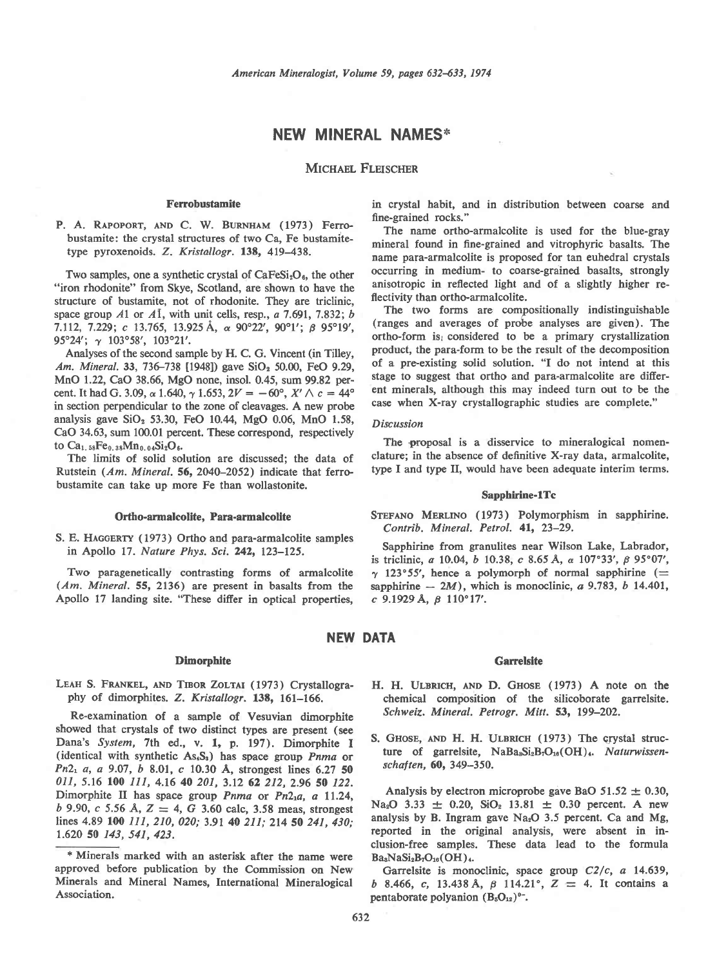# NEW MINERAL NAMES"

# MICHAEL FLEISCHER

## Ferrobustamite

P. A. RAPOPORT, AND C. W. BURNHAM (1973) Ferrobustamite: the crystal structures of two Ca, Fe bustamitetype pyroxenoids. Z. Kristallogr. 138, 419-438.

Two samples, one a synthetic crystal of  $CaFeSi<sub>2</sub>O<sub>6</sub>$ , the other "iron rhodonite" from Skye, Scotland, are shown to have the structure of bustamite, not of rhodonite. They are triclinic, space group A1 or A1, with unit cells, resp.,  $a$  7.691, 7.832;  $b$ 7.112, 7.229; c 13.765, 13.925 A,  $\alpha$  90°22', 90°1';  $\beta$  95°19', 95°24';  $\gamma$  103°58', 103°21'.

Analyses of the second sample by H. C. G. Vincent (in Tilley, Am. Mineral. 33, 736-738 [1948]) gave SiO<sub>2</sub> 50.00, FeO 9.29, }l{nO 1.22, CaO 38.66, MgO none, insol. 0.45, sum 99.82 percent. It had G. 3.09,  $\alpha$  1.640,  $\gamma$  1.653,  $2V = -60^{\circ}$ ,  $X' \wedge c = 44^{\circ}$ in section perpendicular to the zone of cleavages. A new probe analysis gave SiO<sub>2</sub> 53.30, FeO 10.44, MgO 0.06, MnO 1.58, CaO 34,63, sum 100.01 percent. These correspond, respectively to  $Ca_{1.58}Fe_{0.38}Mn_{0.04}Si_2O_6.$ 

The limits of solid solution are discussed; the data of Rutstein (Am. Mineral. 56, 2040-2052) indicate that ferrobustamite can take up more Fe than wollastonite.

## Ortho-armalcolite, Para-armalcolite

S. E. HAGGERTY (1973) Ortho and para-armalcolite samples in Apollo 17. Nature Phys. Sci. 242, 123-125.

Two paragenetically contrasting forms of armalcolite  $(Am, Mineral. 55, 2136)$  are present in basalts from the Apollo 17 landing site. "These differ in optical properties,

**Dimorphite** 

LEAH S. FRANKEL, AND TIBOR ZOLTAI (1973) Crystallography of dimorphites. Z. Kristallogr. 138, 161-166.

Re-examination of a sample of Vesuvian dimorphite showed that crystals of two distinct types are present (see Dana's System, 7th ed., v. 1, p. 197). Dimorphite I (identical with synthetic  $As<sub>s</sub>S<sub>s</sub>$ ) has space group Pnma or Pn2, a, a 9.07, b 8.01, c 10.30 Å, strongest lines 6.27 50 011, 5.16 100 111, 4.16 40 201, 3.12 62 212, 2.96 50 122. Dimorphite II has space group Pnma or Pn2<sub>1</sub>a, a 11.24, b 9.90, c 5.56 Å,  $Z = 4$ , G 3.60 calc, 3.58 meas, strongest lines 4.89 100 111, 210, 020; 3.91 40 211; 214 50 241, 430; 1.620 50 143, 541, 423.

in crystal habit, and in distribution between coarse and fine-grained rocks."

The name ortho-armalcolite is used for the blue-gray mineral found in fine-grained and vitrophyric basalts. The name para-armalcolite is proposed for tan euhedral crystals occurring in medium- to coarse-grained basalts, strongly anisotropic in reflected light and of a slightly higher reflectivity than ortho-armalcolite.

The two forms are compositionally indistinguishable (ranges and averages of probe analyses are given). The ortho-form is, considered to be a primary crystallization product, the para-form to be the result of the decomposition of a pre-existing solid solution. "I do not intend at this stage to suggest that ortho and para-armalcolite are different minerals, although this may indeed turn out to be the case when X-ray crystallographic studies are complete."

## Discussion

The proposal is a disservice to mineralogical nomenclature; in the absence of definitive X-ray data, armalcolite, type I and type II, would have been adequate interim terms.

## Sapphirine-1Tc

STEFANO MERLINO (1973) Polymorphism in sapphirine. Contrib. Mineral. Petrol. 41, 23-29.

Sapphirine from granulites near Wilson Lake, Labrador, is triclinic, a 10.04, b 10.38, c 8.65 Å,  $\alpha$  107°33',  $\beta$  95°07',  $\gamma$  123°55', hence a polymorph of normal sapphirine (= sapphirine  $-2M$ , which is monoclinic, a 9.783, b 14.401, c 9.1929 Å,  $\beta$  110°17'.

# NEW DATA

#### Garrelsite

- H. H. ULBRICH, AND D. GHOSE (1973) A note on the chemical composition of the silicoborate garrelsite. Schweiz. Mineral. Petrogr. Mitt. 53, 199-202.
- S. GHOSE, AND H. H. ULBRICH (1973) The crystal structure of garrelsite,  $NaBa<sub>a</sub>Si<sub>2</sub>B<sub>7</sub>O<sub>10</sub>(OH)<sub>4</sub>$ . Naturwissenschaften,60, 349-350.

Analysis by electron microprobe gave BaO 51.52  $\pm$  0.30, Na<sub>2</sub>O 3.33  $\pm$  0.20, SiO<sub>2</sub> 13.81  $\pm$  0.30 percent. A new analysis by B. Ingram gave  $Na<sub>2</sub>O$  3.5 percent. Ca and Mg, reported in the original analysis, were absent in inclusion-free samples. These data lead to the formula  $Ba_3NaSi_2B_7O_{16}(OH)_4.$ 

Garrelsite is monoclinic, space group  $C2/c$ , a 14.639, b 8.466, c, 13.438 Å,  $\beta$  114.21°,  $Z = 4$ . It contains a pentaborate polyanion  $(B_6O_{12})^8$ .

<sup>\*</sup> Minerals marked with an asterisk after the name were approved before publication by the Commission on New Minerals and Mineral Names, International Mineralogical Association.